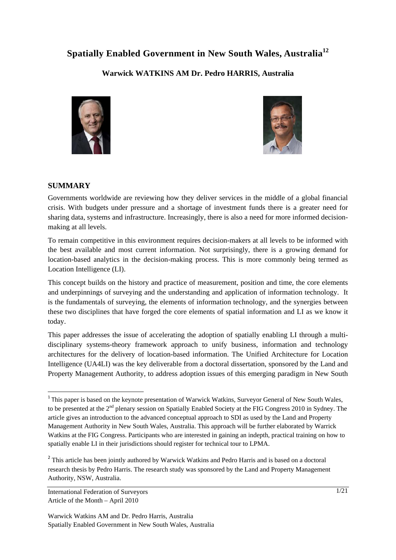# **Spatially Enabled Government in New South Wales, Australia<sup>12</sup>**

## **Warwick WATKINS AM Dr. Pedro HARRIS, Australia**





### **SUMMARY**

Governments worldwide are reviewing how they deliver services in the middle of a global financial crisis. With budgets under pressure and a shortage of investment funds there is a greater need for sharing data, systems and infrastructure. Increasingly, there is also a need for more informed decisionmaking at all levels.

To remain competitive in this environment requires decision-makers at all levels to be informed with the best available and most current information. Not surprisingly, there is a growing demand for location-based analytics in the decision-making process. This is more commonly being termed as Location Intelligence (LI).

This concept builds on the history and practice of measurement, position and time, the core elements and underpinnings of surveying and the understanding and application of information technology. It is the fundamentals of surveying, the elements of information technology, and the synergies between these two disciplines that have forged the core elements of spatial information and LI as we know it today.

This paper addresses the issue of accelerating the adoption of spatially enabling LI through a multidisciplinary systems-theory framework approach to unify business, information and technology architectures for the delivery of location-based information. The Unified Architecture for Location Intelligence (UA4LI) was the key deliverable from a doctoral dissertation, sponsored by the Land and Property Management Authority, to address adoption issues of this emerging paradigm in New South

International Federation of Surveyors Article of the Month – April 2010

<sup>&</sup>lt;sup>1</sup> This paper is based on the keynote presentation of Warwick Watkins, Surveyor General of New South Wales, to be presented at the 2<sup>nd</sup> plenary session on Spatially Enabled Society at the FIG Congress 2010 in Sydney. The article gives an introduction to the advanced conceptual approach to SDI as used by the Land and Property Management Authority in New South Wales, Australia. This approach will be further elaborated by Warrick Watkins at the FIG Congress. Participants who are interested in gaining an indepth, practical training on how to spatially enable LI in their jurisdictions should register for technical tour to LPMA.

<sup>&</sup>lt;sup>2</sup> This article has been jointly authored by Warwick Watkins and Pedro Harris and is based on a doctoral research thesis by Pedro Harris. The research study was sponsored by the Land and Property Management Authority, NSW, Australia.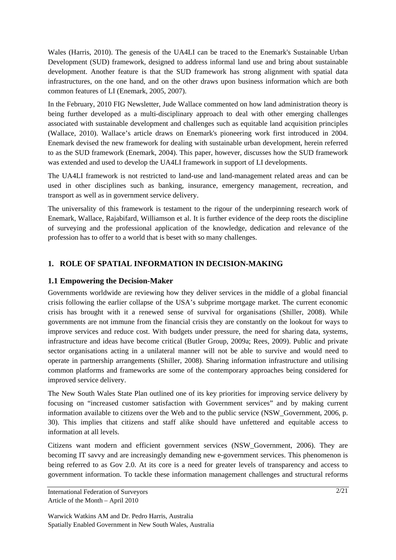Wales (Harris, 2010). The genesis of the UA4LI can be traced to the Enemark's Sustainable Urban Development (SUD) framework, designed to address informal land use and bring about sustainable development. Another feature is that the SUD framework has strong alignment with spatial data infrastructures, on the one hand, and on the other draws upon business information which are both common features of LI (Enemark, 2005, 2007).

In the February, 2010 FIG Newsletter, Jude Wallace commented on how land administration theory is being further developed as a multi-disciplinary approach to deal with other emerging challenges associated with sustainable development and challenges such as equitable land acquisition principles (Wallace, 2010). Wallace's article draws on Enemark's pioneering work first introduced in 2004. Enemark devised the new framework for dealing with sustainable urban development, herein referred to as the SUD framework (Enemark, 2004). This paper, however, discusses how the SUD framework was extended and used to develop the UA4LI framework in support of LI developments.

The UA4LI framework is not restricted to land-use and land-management related areas and can be used in other disciplines such as banking, insurance, emergency management, recreation, and transport as well as in government service delivery.

The universality of this framework is testament to the rigour of the underpinning research work of Enemark, Wallace, Rajabifard, Williamson et al. It is further evidence of the deep roots the discipline of surveying and the professional application of the knowledge, dedication and relevance of the profession has to offer to a world that is beset with so many challenges.

## **1. ROLE OF SPATIAL INFORMATION IN DECISION-MAKING**

### **1.1 Empowering the Decision-Maker**

Governments worldwide are reviewing how they deliver services in the middle of a global financial crisis following the earlier collapse of the USA's subprime mortgage market. The current economic crisis has brought with it a renewed sense of survival for organisations (Shiller, 2008). While governments are not immune from the financial crisis they are constantly on the lookout for ways to improve services and reduce cost. With budgets under pressure, the need for sharing data, systems, infrastructure and ideas have become critical (Butler Group, 2009a; Rees, 2009). Public and private sector organisations acting in a unilateral manner will not be able to survive and would need to operate in partnership arrangements (Shiller, 2008). Sharing information infrastructure and utilising common platforms and frameworks are some of the contemporary approaches being considered for improved service delivery.

The New South Wales State Plan outlined one of its key priorities for improving service delivery by focusing on "increased customer satisfaction with Government services" and by making current information available to citizens over the Web and to the public service (NSW\_Government, 2006, p. 30). This implies that citizens and staff alike should have unfettered and equitable access to information at all levels.

Citizens want modern and efficient government services (NSW\_Government, 2006). They are becoming IT savvy and are increasingly demanding new e-government services. This phenomenon is being referred to as Gov 2.0. At its core is a need for greater levels of transparency and access to government information. To tackle these information management challenges and structural reforms

International Federation of Surveyors Article of the Month – April 2010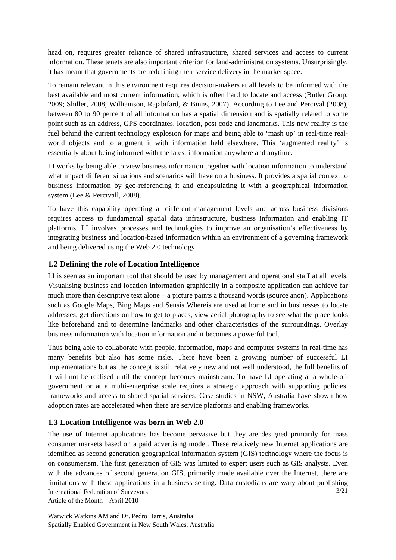head on, requires greater reliance of shared infrastructure, shared services and access to current information. These tenets are also important criterion for land-administration systems. Unsurprisingly, it has meant that governments are redefining their service delivery in the market space.

To remain relevant in this environment requires decision-makers at all levels to be informed with the best available and most current information, which is often hard to locate and access (Butler Group, 2009; Shiller, 2008; Williamson, Rajabifard, & Binns, 2007). According to Lee and Percival (2008), between 80 to 90 percent of all information has a spatial dimension and is spatially related to some point such as an address, GPS coordinates, location, post code and landmarks. This new reality is the fuel behind the current technology explosion for maps and being able to 'mash up' in real-time realworld objects and to augment it with information held elsewhere. This 'augmented reality' is essentially about being informed with the latest information anywhere and anytime.

LI works by being able to view business information together with location information to understand what impact different situations and scenarios will have on a business. It provides a spatial context to business information by geo-referencing it and encapsulating it with a geographical information system (Lee & Percivall, 2008).

To have this capability operating at different management levels and across business divisions requires access to fundamental spatial data infrastructure, business information and enabling IT platforms. LI involves processes and technologies to improve an organisation's effectiveness by integrating business and location-based information within an environment of a governing framework and being delivered using the Web 2.0 technology.

## **1.2 Defining the role of Location Intelligence**

LI is seen as an important tool that should be used by management and operational staff at all levels. Visualising business and location information graphically in a composite application can achieve far much more than descriptive text alone – a picture paints a thousand words (source anon). Applications such as Google Maps, Bing Maps and Sensis Whereis are used at home and in businesses to locate addresses, get directions on how to get to places, view aerial photography to see what the place looks like beforehand and to determine landmarks and other characteristics of the surroundings. Overlay business information with location information and it becomes a powerful tool.

Thus being able to collaborate with people, information, maps and computer systems in real-time has many benefits but also has some risks. There have been a growing number of successful LI implementations but as the concept is still relatively new and not well understood, the full benefits of it will not be realised until the concept becomes mainstream. To have LI operating at a whole-ofgovernment or at a multi-enterprise scale requires a strategic approach with supporting policies, frameworks and access to shared spatial services. Case studies in NSW, Australia have shown how adoption rates are accelerated when there are service platforms and enabling frameworks.

#### **1.3 Location Intelligence was born in Web 2.0**

International Federation of Surveyors Article of the Month – April 2010 3/21 The use of Internet applications has become pervasive but they are designed primarily for mass consumer markets based on a paid advertising model. These relatively new Internet applications are identified as second generation geographical information system (GIS) technology where the focus is on consumerism. The first generation of GIS was limited to expert users such as GIS analysts. Even with the advances of second generation GIS, primarily made available over the Internet, there are limitations with these applications in a business setting. Data custodians are wary about publishing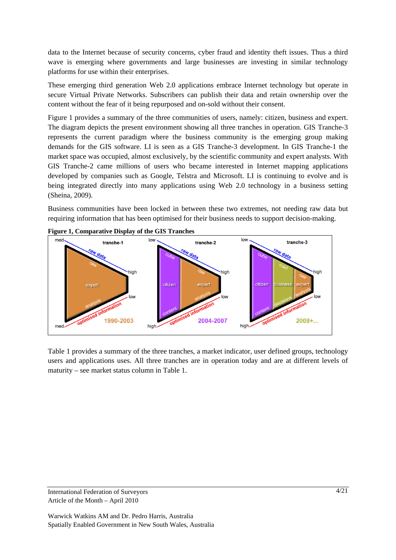data to the Internet because of security concerns, cyber fraud and identity theft issues. Thus a third wave is emerging where governments and large businesses are investing in similar technology platforms for use within their enterprises.

These emerging third generation Web 2.0 applications embrace Internet technology but operate in secure Virtual Private Networks. Subscribers can publish their data and retain ownership over the content without the fear of it being repurposed and on-sold without their consent.

Figure 1 provides a summary of the three communities of users, namely: citizen, business and expert. The diagram depicts the present environment showing all three tranches in operation. GIS Tranche-3 represents the current paradigm where the business community is the emerging group making demands for the GIS software. LI is seen as a GIS Tranche-3 development. In GIS Tranche-1 the market space was occupied, almost exclusively, by the scientific community and expert analysts. With GIS Tranche-2 came millions of users who became interested in Internet mapping applications developed by companies such as Google, Telstra and Microsoft. LI is continuing to evolve and is being integrated directly into many applications using Web 2.0 technology in a business setting (Sheina, 2009).

Business communities have been locked in between these two extremes, not needing raw data but requiring information that has been optimised for their business needs to support decision-making.



**Figure 1, Comparative Display of the GIS Tranches** 

Table 1 provides a summary of the three tranches, a market indicator, user defined groups, technology users and applications uses. All three tranches are in operation today and are at different levels of maturity – see market status column in Table 1.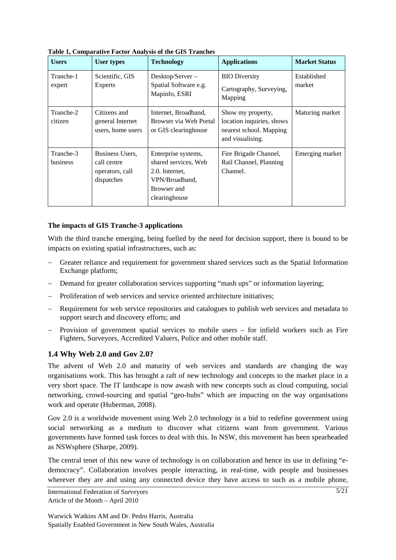| <b>Users</b>                 | <b>User types</b>                                               | <b>Technology</b>                                                                                               | <b>Applications</b>                                                                           | <b>Market Status</b>  |
|------------------------------|-----------------------------------------------------------------|-----------------------------------------------------------------------------------------------------------------|-----------------------------------------------------------------------------------------------|-----------------------|
| Tranche-1<br>expert          | Scientific, GIS<br><b>Experts</b>                               | Desktop/Server-<br>Spatial Software e.g.<br>Mapinfo, ESRI                                                       | <b>BIO Diversity</b><br>Cartography, Surveying,<br>Mapping                                    | Established<br>market |
| Tranche-2<br>citizen         | Citizens and<br>general Internet<br>users, home users           | Internet, Broadband,<br>Browser via Web Portal<br>or GIS clearinghouse                                          | Show my property,<br>location inquiries, shows<br>nearest school. Mapping<br>and visualising. | Maturing market       |
| Tranche-3<br><b>business</b> | Business Users,<br>call centre<br>operators, call<br>dispatches | Enterprise systems,<br>shared services, Web<br>2.0. Internet,<br>VPN/Broadband.<br>Browser and<br>clearinghouse | Fire Brigade Channel,<br>Rail Channel, Planning<br>Channel.                                   | Emerging market       |

**Table 1, Comparative Factor Analysis of the GIS Tranches** 

#### **The impacts of GIS Tranche-3 applications**

With the third tranche emerging, being fuelled by the need for decision support, there is bound to be impacts on existing spatial infrastructures, such as:

- − Greater reliance and requirement for government shared services such as the Spatial Information Exchange platform;
- − Demand for greater collaboration services supporting "mash ups" or information layering;
- − Proliferation of web services and service oriented architecture initiatives;
- − Requirement for web service repositories and catalogues to publish web services and metadata to support search and discovery efforts; and
- − Provision of government spatial services to mobile users for infield workers such as Fire Fighters, Surveyors, Accredited Valuers, Police and other mobile staff.

#### **1.4 Why Web 2.0 and Gov 2.0?**

The advent of Web 2.0 and maturity of web services and standards are changing the way organisations work. This has brought a raft of new technology and concepts to the market place in a very short space. The IT landscape is now awash with new concepts such as cloud computing, social networking, crowd-sourcing and spatial "geo-hubs" which are impacting on the way organisations work and operate (Huberman, 2008).

Gov 2.0 is a worldwide movement using Web 2.0 technology in a bid to redefine government using social networking as a medium to discover what citizens want from government. Various governments have formed task forces to deal with this. In NSW, this movement has been spearheaded as NSWsphere (Sharpe, 2009).

The central tenet of this new wave of technology is on collaboration and hence its use in defining "edemocracy". Collaboration involves people interacting, in real-time, with people and businesses wherever they are and using any connected device they have access to such as a mobile phone,

International Federation of Surveyors Article of the Month – April 2010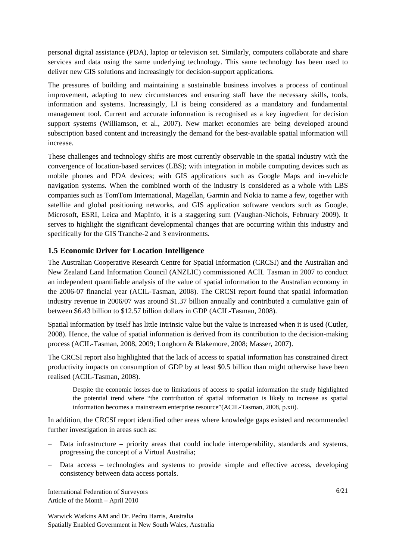personal digital assistance (PDA), laptop or television set. Similarly, computers collaborate and share services and data using the same underlying technology. This same technology has been used to deliver new GIS solutions and increasingly for decision-support applications.

The pressures of building and maintaining a sustainable business involves a process of continual improvement, adapting to new circumstances and ensuring staff have the necessary skills, tools, information and systems. Increasingly, LI is being considered as a mandatory and fundamental management tool. Current and accurate information is recognised as a key ingredient for decision support systems (Williamson, et al., 2007). New market economies are being developed around subscription based content and increasingly the demand for the best-available spatial information will increase.

These challenges and technology shifts are most currently observable in the spatial industry with the convergence of location-based services (LBS); with integration in mobile computing devices such as mobile phones and PDA devices; with GIS applications such as Google Maps and in-vehicle navigation systems. When the combined worth of the industry is considered as a whole with LBS companies such as TomTom International, Magellan, Garmin and Nokia to name a few, together with satellite and global positioning networks, and GIS application software vendors such as Google, Microsoft, ESRI, Leica and MapInfo, it is a staggering sum (Vaughan-Nichols, February 2009). It serves to highlight the significant developmental changes that are occurring within this industry and specifically for the GIS Tranche-2 and 3 environments.

#### **1.5 Economic Driver for Location Intelligence**

The Australian Cooperative Research Centre for Spatial Information (CRCSI) and the Australian and New Zealand Land Information Council (ANZLIC) commissioned ACIL Tasman in 2007 to conduct an independent quantifiable analysis of the value of spatial information to the Australian economy in the 2006-07 financial year (ACIL-Tasman, 2008). The CRCSI report found that spatial information industry revenue in 2006/07 was around \$1.37 billion annually and contributed a cumulative gain of between \$6.43 billion to \$12.57 billion dollars in GDP (ACIL-Tasman, 2008).

Spatial information by itself has little intrinsic value but the value is increased when it is used (Cutler, 2008). Hence, the value of spatial information is derived from its contribution to the decision-making process (ACIL-Tasman, 2008, 2009; Longhorn & Blakemore, 2008; Masser, 2007).

The CRCSI report also highlighted that the lack of access to spatial information has constrained direct productivity impacts on consumption of GDP by at least \$0.5 billion than might otherwise have been realised (ACIL-Tasman, 2008).

Despite the economic losses due to limitations of access to spatial information the study highlighted the potential trend where "the contribution of spatial information is likely to increase as spatial information becomes a mainstream enterprise resource"(ACIL-Tasman, 2008, p.xii).

In addition, the CRCSI report identified other areas where knowledge gaps existed and recommended further investigation in areas such as:

- Data infrastructure priority areas that could include interoperability, standards and systems, progressing the concept of a Virtual Australia;
- − Data access technologies and systems to provide simple and effective access, developing consistency between data access portals.

International Federation of Surveyors Article of the Month – April 2010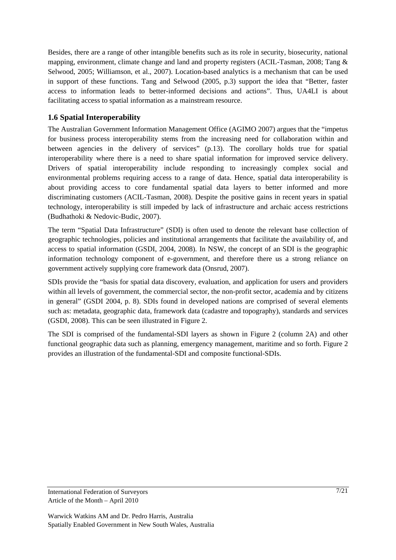Besides, there are a range of other intangible benefits such as its role in security, biosecurity, national mapping, environment, climate change and land and property registers (ACIL-Tasman, 2008; Tang & Selwood, 2005; Williamson, et al., 2007). Location-based analytics is a mechanism that can be used in support of these functions. Tang and Selwood (2005, p.3) support the idea that "Better, faster access to information leads to better-informed decisions and actions". Thus, UA4LI is about facilitating access to spatial information as a mainstream resource.

## **1.6 Spatial Interoperability**

The Australian Government Information Management Office (AGIMO 2007) argues that the "impetus for business process interoperability stems from the increasing need for collaboration within and between agencies in the delivery of services" (p.13). The corollary holds true for spatial interoperability where there is a need to share spatial information for improved service delivery. Drivers of spatial interoperability include responding to increasingly complex social and environmental problems requiring access to a range of data. Hence, spatial data interoperability is about providing access to core fundamental spatial data layers to better informed and more discriminating customers (ACIL-Tasman, 2008). Despite the positive gains in recent years in spatial technology, interoperability is still impeded by lack of infrastructure and archaic access restrictions (Budhathoki & Nedovic-Budic, 2007).

The term "Spatial Data Infrastructure" (SDI) is often used to denote the relevant base collection of geographic technologies, policies and institutional arrangements that facilitate the availability of, and access to spatial information (GSDI, 2004, 2008). In NSW, the concept of an SDI is the geographic information technology component of e-government, and therefore there us a strong reliance on government actively supplying core framework data (Onsrud, 2007).

SDIs provide the "basis for spatial data discovery, evaluation, and application for users and providers within all levels of government, the commercial sector, the non-profit sector, academia and by citizens in general" (GSDI 2004, p. 8). SDIs found in developed nations are comprised of several elements such as: metadata, geographic data, framework data (cadastre and topography), standards and services (GSDI, 2008). This can be seen illustrated in Figure 2.

The SDI is comprised of the fundamental-SDI layers as shown in Figure 2 (column 2A) and other functional geographic data such as planning, emergency management, maritime and so forth. Figure 2 provides an illustration of the fundamental-SDI and composite functional-SDIs.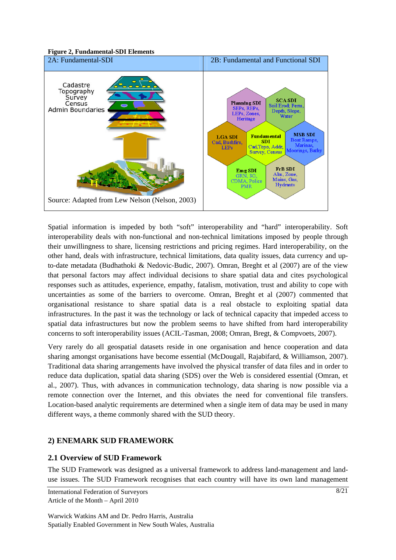



Spatial information is impeded by both "soft" interoperability and "hard" interoperability. Soft interoperability deals with non-functional and non-technical limitations imposed by people through their unwillingness to share, licensing restrictions and pricing regimes. Hard interoperability, on the other hand, deals with infrastructure, technical limitations, data quality issues, data currency and upto-date metadata (Budhathoki & Nedovic-Budic, 2007). Omran, Breght et al (2007) are of the view that personal factors may affect individual decisions to share spatial data and cites psychological responses such as attitudes, experience, empathy, fatalism, motivation, trust and ability to cope with uncertainties as some of the barriers to overcome. Omran, Breght et al (2007) commented that organisational resistance to share spatial data is a real obstacle to exploiting spatial data infrastructures. In the past it was the technology or lack of technical capacity that impeded access to spatial data infrastructures but now the problem seems to have shifted from hard interoperability concerns to soft interoperability issues (ACIL-Tasman, 2008; Omran, Bregt, & Compvoets, 2007).

Very rarely do all geospatial datasets reside in one organisation and hence cooperation and data sharing amongst organisations have become essential (McDougall, Rajabifard, & Williamson, 2007). Traditional data sharing arrangements have involved the physical transfer of data files and in order to reduce data duplication, spatial data sharing (SDS) over the Web is considered essential (Omran, et al., 2007). Thus, with advances in communication technology, data sharing is now possible via a remote connection over the Internet, and this obviates the need for conventional file transfers. Location-based analytic requirements are determined when a single item of data may be used in many different ways, a theme commonly shared with the SUD theory.

## **2) ENEMARK SUD FRAMEWORK**

## **2.1 Overview of SUD Framework**

The SUD Framework was designed as a universal framework to address land-management and landuse issues. The SUD Framework recognises that each country will have its own land management

International Federation of Surveyors Article of the Month – April 2010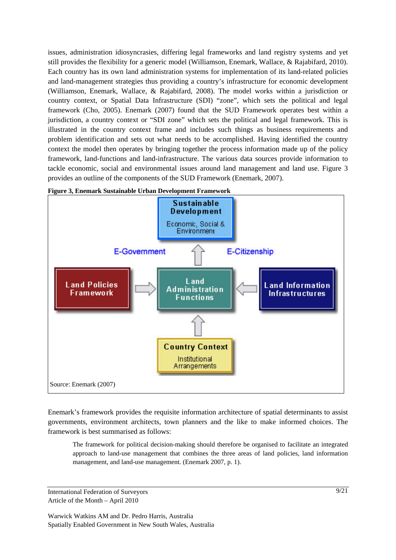issues, administration idiosyncrasies, differing legal frameworks and land registry systems and yet still provides the flexibility for a generic model (Williamson, Enemark, Wallace, & Rajabifard, 2010). Each country has its own land administration systems for implementation of its land-related policies and land-management strategies thus providing a country's infrastructure for economic development (Williamson, Enemark, Wallace, & Rajabifard, 2008). The model works within a jurisdiction or country context, or Spatial Data Infrastructure (SDI) "zone", which sets the political and legal framework (Cho, 2005). Enemark (2007) found that the SUD Framework operates best within a jurisdiction, a country context or "SDI zone" which sets the political and legal framework. This is illustrated in the country context frame and includes such things as business requirements and problem identification and sets out what needs to be accomplished. Having identified the country context the model then operates by bringing together the process information made up of the policy framework, land-functions and land-infrastructure. The various data sources provide information to tackle economic, social and environmental issues around land management and land use. Figure 3 provides an outline of the components of the SUD Framework (Enemark, 2007).





Enemark's framework provides the requisite information architecture of spatial determinants to assist governments, environment architects, town planners and the like to make informed choices. The framework is best summarised as follows:

The framework for political decision-making should therefore be organised to facilitate an integrated approach to land-use management that combines the three areas of land policies, land information management, and land-use management. (Enemark 2007, p. 1).

International Federation of Surveyors Article of the Month – April 2010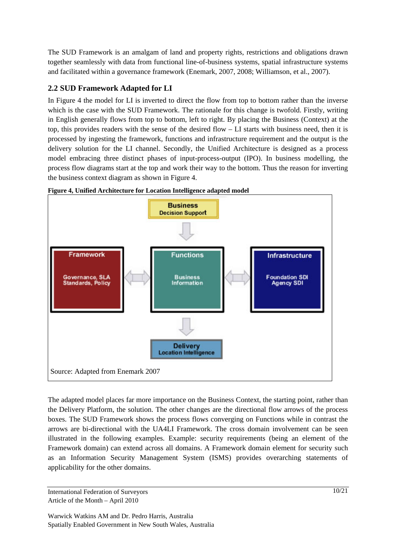The SUD Framework is an amalgam of land and property rights, restrictions and obligations drawn together seamlessly with data from functional line-of-business systems, spatial infrastructure systems and facilitated within a governance framework (Enemark, 2007, 2008; Williamson, et al., 2007).

## **2.2 SUD Framework Adapted for LI**

In Figure 4 the model for LI is inverted to direct the flow from top to bottom rather than the inverse which is the case with the SUD Framework. The rationale for this change is twofold. Firstly, writing in English generally flows from top to bottom, left to right. By placing the Business (Context) at the top, this provides readers with the sense of the desired flow – LI starts with business need, then it is processed by ingesting the framework, functions and infrastructure requirement and the output is the delivery solution for the LI channel. Secondly, the Unified Architecture is designed as a process model embracing three distinct phases of input-process-output (IPO). In business modelling, the process flow diagrams start at the top and work their way to the bottom. Thus the reason for inverting the business context diagram as shown in Figure 4.



**Figure 4, Unified Architecture for Location Intelligence adapted model** 

The adapted model places far more importance on the Business Context, the starting point, rather than the Delivery Platform, the solution. The other changes are the directional flow arrows of the process boxes. The SUD Framework shows the process flows converging on Functions while in contrast the arrows are bi-directional with the UA4LI Framework. The cross domain involvement can be seen illustrated in the following examples. Example: security requirements (being an element of the Framework domain) can extend across all domains. A Framework domain element for security such as an Information Security Management System (ISMS) provides overarching statements of applicability for the other domains.

International Federation of Surveyors Article of the Month – April 2010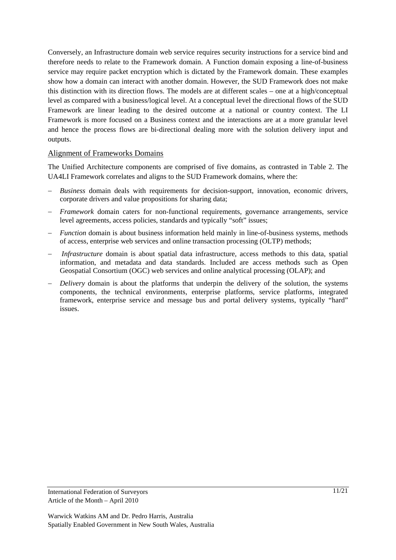Conversely, an Infrastructure domain web service requires security instructions for a service bind and therefore needs to relate to the Framework domain. A Function domain exposing a line-of-business service may require packet encryption which is dictated by the Framework domain. These examples show how a domain can interact with another domain. However, the SUD Framework does not make this distinction with its direction flows. The models are at different scales – one at a high/conceptual level as compared with a business/logical level. At a conceptual level the directional flows of the SUD Framework are linear leading to the desired outcome at a national or country context. The LI Framework is more focused on a Business context and the interactions are at a more granular level and hence the process flows are bi-directional dealing more with the solution delivery input and outputs.

#### Alignment of Frameworks Domains

The Unified Architecture components are comprised of five domains, as contrasted in Table 2. The UA4LI Framework correlates and aligns to the SUD Framework domains, where the:

- *Business* domain deals with requirements for decision-support, innovation, economic drivers, corporate drivers and value propositions for sharing data;
- − *Framework* domain caters for non-functional requirements, governance arrangements, service level agreements, access policies, standards and typically "soft" issues;
- − *Function* domain is about business information held mainly in line-of-business systems, methods of access, enterprise web services and online transaction processing (OLTP) methods;
- *Infrastructure* domain is about spatial data infrastructure, access methods to this data, spatial information, and metadata and data standards. Included are access methods such as Open Geospatial Consortium (OGC) web services and online analytical processing (OLAP); and
- *Delivery* domain is about the platforms that underpin the delivery of the solution, the systems components, the technical environments, enterprise platforms, service platforms, integrated framework, enterprise service and message bus and portal delivery systems, typically "hard" issues.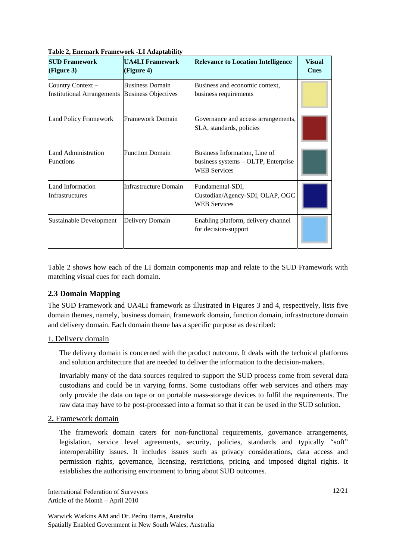| <b>SUD Framework</b><br>(Figure 3)                    | <b>UA4LI Framework</b><br>(Figure 4)                 | <b>Relevance to Location Intelligence</b>                                                   | <b>Visual</b><br><b>Cues</b> |
|-------------------------------------------------------|------------------------------------------------------|---------------------------------------------------------------------------------------------|------------------------------|
| Country Context-<br><b>Institutional Arrangements</b> | <b>Business Domain</b><br><b>Business Objectives</b> | Business and economic context,<br>business requirements                                     |                              |
| Land Policy Framework                                 | Framework Domain                                     | Governance and access arrangements,<br>SLA, standards, policies                             |                              |
| Land Administration<br><b>Functions</b>               | <b>Function Domain</b>                               | Business Information, Line of<br>business systems – OLTP, Enterprise<br><b>WEB Services</b> |                              |
| Land Information<br>Infrastructures                   | Infrastructure Domain                                | Fundamental-SDI,<br>Custodian/Agency-SDI, OLAP, OGC<br><b>WEB Services</b>                  |                              |
| Sustainable Development                               | Delivery Domain                                      | Enabling platform, delivery channel<br>for decision-support                                 |                              |

**Table 2, Enemark Framework -LI Adaptability** 

Table 2 shows how each of the LI domain components map and relate to the SUD Framework with matching visual cues for each domain.

#### **2.3 Domain Mapping**

The SUD Framework and UA4LI framework as illustrated in Figures 3 and 4, respectively, lists five domain themes, namely, business domain, framework domain, function domain, infrastructure domain and delivery domain. Each domain theme has a specific purpose as described:

#### 1. Delivery domain

The delivery domain is concerned with the product outcome. It deals with the technical platforms and solution architecture that are needed to deliver the information to the decision-makers.

Invariably many of the data sources required to support the SUD process come from several data custodians and could be in varying forms. Some custodians offer web services and others may only provide the data on tape or on portable mass-storage devices to fulfil the requirements. The raw data may have to be post-processed into a format so that it can be used in the SUD solution.

#### 2**.** Framework domain

The framework domain caters for non-functional requirements, governance arrangements, legislation, service level agreements, security, policies, standards and typically "soft" interoperability issues. It includes issues such as privacy considerations, data access and permission rights, governance, licensing, restrictions, pricing and imposed digital rights. It establishes the authorising environment to bring about SUD outcomes.

International Federation of Surveyors Article of the Month – April 2010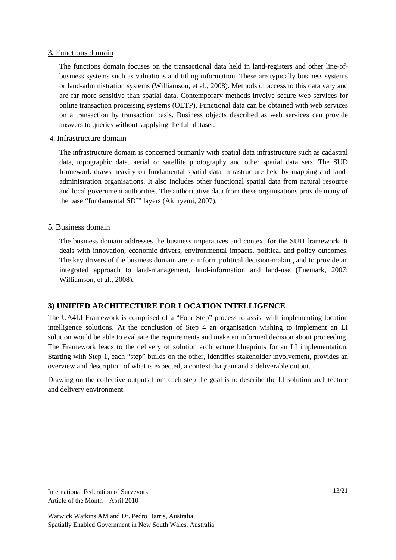#### 3**.** Functions domain

The functions domain focuses on the transactional data held in land-registers and other line-ofbusiness systems such as valuations and titling information. These are typically business systems or land-administration systems (Williamson, et al., 2008). Methods of access to this data vary and are far more sensitive than spatial data. Contemporary methods involve secure web services for online transaction processing systems (OLTP). Functional data can be obtained with web services on a transaction by transaction basis. Business objects described as web services can provide answers to queries without supplying the full dataset.

#### 4. Infrastructure domain

The infrastructure domain is concerned primarily with spatial data infrastructure such as cadastral data, topographic data, aerial or satellite photography and other spatial data sets. The SUD framework draws heavily on fundamental spatial data infrastructure held by mapping and landadministration organisations. It also includes other functional spatial data from natural resource and local government authorities. The authoritative data from these organisations provide many of the base "fundamental SDI" layers (Akinyemi, 2007).

#### 5. Business domain

The business domain addresses the business imperatives and context for the SUD framework. It deals with innovation, economic drivers, environmental impacts, political and policy outcomes. The key drivers of the business domain are to inform political decision-making and to provide an integrated approach to land-management, land-information and land-use (Enemark, 2007; Williamson, et al., 2008).

#### **3) UNIFIED ARCHITECTURE FOR LOCATION INTELLIGENCE**

The UA4LI Framework is comprised of a "Four Step" process to assist with implementing location intelligence solutions. At the conclusion of Step 4 an organisation wishing to implement an LI solution would be able to evaluate the requirements and make an informed decision about proceeding. The Framework leads to the delivery of solution architecture blueprints for an LI implementation. Starting with Step 1, each "step" builds on the other, identifies stakeholder involvement, provides an overview and description of what is expected, a context diagram and a deliverable output.

Drawing on the collective outputs from each step the goal is to describe the LI solution architecture and delivery environment.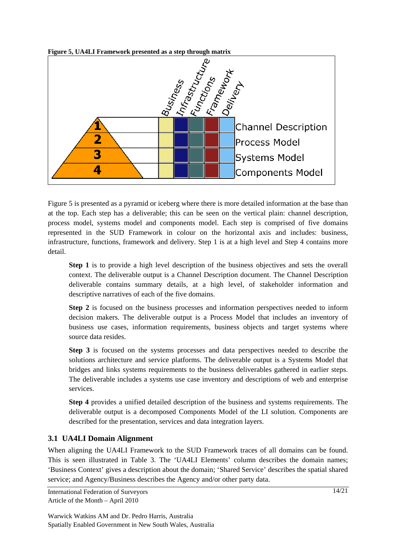

**Figure 5, UA4LI Framework presented as a step through matrix** 

Figure 5 is presented as a pyramid or iceberg where there is more detailed information at the base than at the top. Each step has a deliverable; this can be seen on the vertical plain: channel description, process model, systems model and components model. Each step is comprised of five domains represented in the SUD Framework in colour on the horizontal axis and includes: business, infrastructure, functions, framework and delivery. Step 1 is at a high level and Step 4 contains more detail.

**Step 1** is to provide a high level description of the business objectives and sets the overall context. The deliverable output is a Channel Description document. The Channel Description deliverable contains summary details, at a high level, of stakeholder information and descriptive narratives of each of the five domains.

**Step 2** is focused on the business processes and information perspectives needed to inform decision makers. The deliverable output is a Process Model that includes an inventory of business use cases, information requirements, business objects and target systems where source data resides.

**Step 3** is focused on the systems processes and data perspectives needed to describe the solutions architecture and service platforms. The deliverable output is a Systems Model that bridges and links systems requirements to the business deliverables gathered in earlier steps. The deliverable includes a systems use case inventory and descriptions of web and enterprise services.

**Step 4** provides a unified detailed description of the business and systems requirements. The deliverable output is a decomposed Components Model of the LI solution. Components are described for the presentation, services and data integration layers.

## **3.1 UA4LI Domain Alignment**

When aligning the UA4LI Framework to the SUD Framework traces of all domains can be found. This is seen illustrated in Table 3. The 'UA4LI Elements' column describes the domain names; 'Business Context' gives a description about the domain; 'Shared Service' describes the spatial shared service; and Agency/Business describes the Agency and/or other party data.

International Federation of Surveyors Article of the Month – April 2010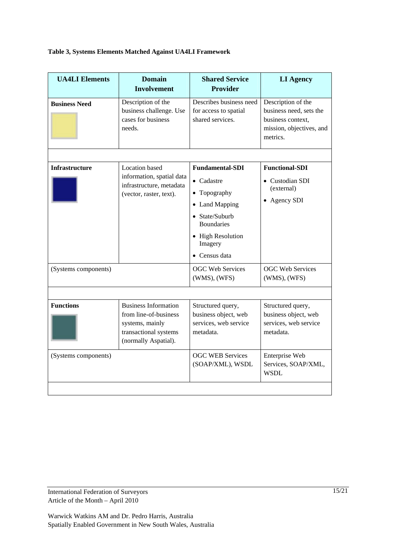#### **Table 3, Systems Elements Matched Against UA4LI Framework**

| <b>UA4LI</b> Elements | <b>Domain</b><br><b>Involvement</b>                                                                                      | <b>Shared Service</b><br><b>Provider</b>                                                                                                                                            | <b>LI Agency</b>                                                                                           |
|-----------------------|--------------------------------------------------------------------------------------------------------------------------|-------------------------------------------------------------------------------------------------------------------------------------------------------------------------------------|------------------------------------------------------------------------------------------------------------|
| <b>Business Need</b>  | Description of the<br>business challenge. Use<br>cases for business<br>needs.                                            | Describes business need<br>for access to spatial<br>shared services.                                                                                                                | Description of the<br>business need, sets the<br>business context,<br>mission, objectives, and<br>metrics. |
|                       |                                                                                                                          |                                                                                                                                                                                     | <b>Functional-SDI</b>                                                                                      |
| <b>Infrastructure</b> | Location based<br>information, spatial data<br>infrastructure, metadata<br>(vector, raster, text).                       | <b>Fundamental-SDI</b><br>$\bullet$ Cadastre<br>• Topography<br><b>Land Mapping</b><br>• State/Suburb<br><b>Boundaries</b><br>• High Resolution<br>Imagery<br>$\bullet$ Census data | • Custodian SDI<br>(external)<br>Agency SDI                                                                |
| (Systems components)  |                                                                                                                          | <b>OGC Web Services</b><br>$(WMS)$ , $(WFS)$                                                                                                                                        | <b>OGC Web Services</b><br>$(WMS)$ , $(WFS)$                                                               |
|                       |                                                                                                                          |                                                                                                                                                                                     |                                                                                                            |
| <b>Functions</b>      | <b>Business Information</b><br>from line-of-business<br>systems, mainly<br>transactional systems<br>(normally Aspatial). | Structured query,<br>business object, web<br>services, web service<br>metadata.                                                                                                     | Structured query,<br>business object, web<br>services, web service<br>metadata.                            |
| (Systems components)  |                                                                                                                          | <b>OGC WEB Services</b><br>(SOAP/XML), WSDL                                                                                                                                         | Enterprise Web<br>Services, SOAP/XML,<br><b>WSDL</b>                                                       |
|                       |                                                                                                                          |                                                                                                                                                                                     |                                                                                                            |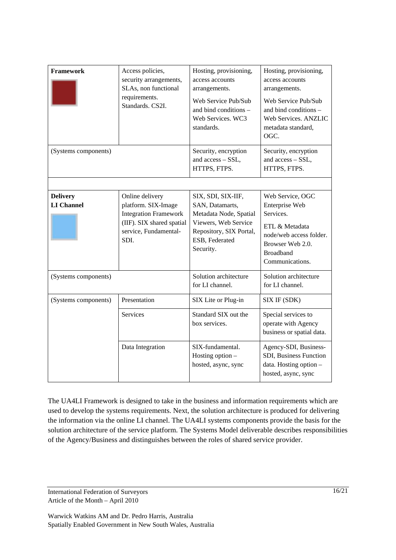| <b>Framework</b>                     | Access policies,<br>security arrangements,<br>SLAs, non functional<br>requirements.<br>Standards, CS2I.                              | Hosting, provisioning,<br>access accounts<br>arrangements.<br>Web Service Pub/Sub<br>and bind conditions -<br>Web Services. WC3<br>standards.     | Hosting, provisioning,<br>access accounts<br>arrangements.<br>Web Service Pub/Sub<br>and bind conditions -<br>Web Services. ANZLIC<br>metadata standard,<br>OGC. |
|--------------------------------------|--------------------------------------------------------------------------------------------------------------------------------------|---------------------------------------------------------------------------------------------------------------------------------------------------|------------------------------------------------------------------------------------------------------------------------------------------------------------------|
| (Systems components)                 |                                                                                                                                      | Security, encryption<br>and access - SSL,<br>HTTPS, FTPS.                                                                                         | Security, encryption<br>and access - SSL,<br>HTTPS, FTPS.                                                                                                        |
|                                      |                                                                                                                                      |                                                                                                                                                   |                                                                                                                                                                  |
| <b>Delivery</b><br><b>LI</b> Channel | Online delivery<br>platform. SIX-Image<br><b>Integration Framework</b><br>(IIF). SIX shared spatial<br>service, Fundamental-<br>SDI. | SIX, SDI, SIX-IIF,<br>SAN, Datamarts,<br>Metadata Node, Spatial<br>Viewers, Web Service<br>Repository, SIX Portal,<br>ESB, Federated<br>Security. | Web Service, OGC<br>Enterprise Web<br>Services.<br>ETL & Metadata<br>node/web access folder.<br>Browser Web 2.0.<br><b>Broadband</b><br>Communications.          |
| (Systems components)                 |                                                                                                                                      | Solution architecture<br>for LI channel.                                                                                                          | Solution architecture<br>for LI channel.                                                                                                                         |
| (Systems components)                 | Presentation                                                                                                                         | SIX Lite or Plug-in                                                                                                                               | SIX IF (SDK)                                                                                                                                                     |
|                                      | <b>Services</b>                                                                                                                      | Standard SIX out the<br>box services.                                                                                                             | Special services to<br>operate with Agency<br>business or spatial data.                                                                                          |
|                                      | Data Integration                                                                                                                     | SIX-fundamental.<br>Hosting option $-$<br>hosted, async, sync                                                                                     | Agency-SDI, Business-<br>SDI, Business Function<br>data. Hosting option -<br>hosted, async, sync                                                                 |

The UA4LI Framework is designed to take in the business and information requirements which are used to develop the systems requirements. Next, the solution architecture is produced for delivering the information via the online LI channel. The UA4LI systems components provide the basis for the solution architecture of the service platform. The Systems Model deliverable describes responsibilities of the Agency/Business and distinguishes between the roles of shared service provider.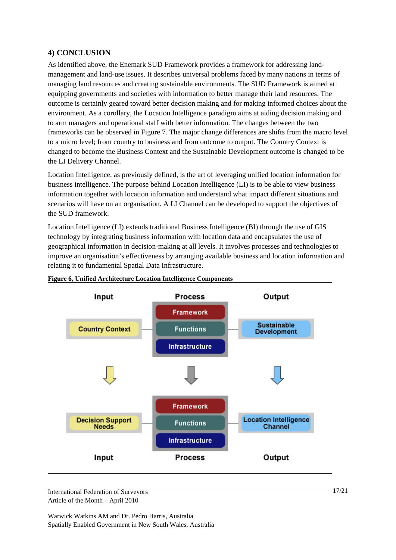## **4) CONCLUSION**

As identified above, the Enemark SUD Framework provides a framework for addressing landmanagement and land-use issues. It describes universal problems faced by many nations in terms of managing land resources and creating sustainable environments. The SUD Framework is aimed at equipping governments and societies with information to better manage their land resources. The outcome is certainly geared toward better decision making and for making informed choices about the environment. As a corollary, the Location Intelligence paradigm aims at aiding decision making and to arm managers and operational staff with better information. The changes between the two frameworks can be observed in Figure 7. The major change differences are shifts from the macro level to a micro level; from country to business and from outcome to output. The Country Context is changed to become the Business Context and the Sustainable Development outcome is changed to be the LI Delivery Channel.

Location Intelligence, as previously defined, is the art of leveraging unified location information for business intelligence. The purpose behind Location Intelligence (LI) is to be able to view business information together with location information and understand what impact different situations and scenarios will have on an organisation. A LI Channel can be developed to support the objectives of the SUD framework.

Location Intelligence (LI) extends traditional Business Intelligence (BI) through the use of GIS technology by integrating business information with location data and encapsulates the use of geographical information in decision-making at all levels. It involves processes and technologies to improve an organisation's effectiveness by arranging available business and location information and relating it to fundamental Spatial Data Infrastructure.



**Figure 6, Unified Architecture Location Intelligence Components** 

International Federation of Surveyors Article of the Month – April 2010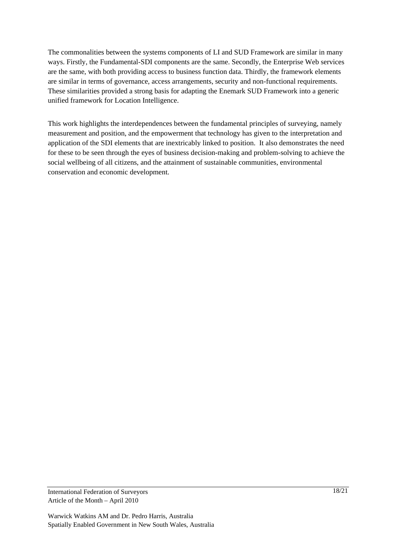The commonalities between the systems components of LI and SUD Framework are similar in many ways. Firstly, the Fundamental-SDI components are the same. Secondly, the Enterprise Web services are the same, with both providing access to business function data. Thirdly, the framework elements are similar in terms of governance, access arrangements, security and non-functional requirements. These similarities provided a strong basis for adapting the Enemark SUD Framework into a generic unified framework for Location Intelligence.

This work highlights the interdependences between the fundamental principles of surveying, namely measurement and position, and the empowerment that technology has given to the interpretation and application of the SDI elements that are inextricably linked to position. It also demonstrates the need for these to be seen through the eyes of business decision-making and problem-solving to achieve the social wellbeing of all citizens, and the attainment of sustainable communities, environmental conservation and economic development.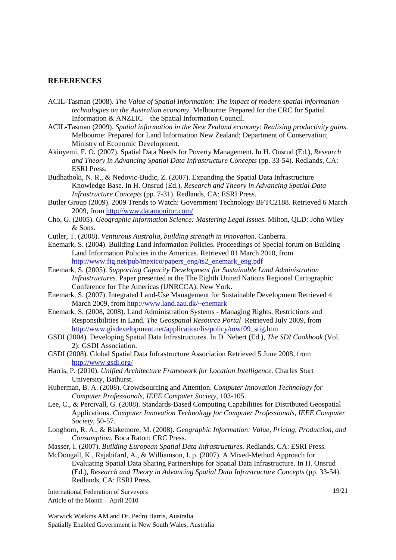#### **REFERENCES**

- ACIL-Tasman (2008). *The Value of Spatial Information: The impact of modern spatial information technologies on the Australian economy*. Melbourne: Prepared for the CRC for Spatial Information & ANZLIC – the Spatial Information Council.
- ACIL-Tasman (2009). *Spatial information in the New Zealand economy: Realising productivity gains*. Melbourne: Prepared for Land Information New Zealand; Department of Conservation; Ministry of Economic Development.
- Akinyemi, F. O. (2007). Spatial Data Needs for Poverty Management. In H. Onsrud (Ed.), *Research and Theory in Advancing Spatial Data Infrastructure Concepts* (pp. 33-54). Redlands, CA: ESRI Press.
- Budhathoki, N. R., & Nedovic-Budic, Z. (2007). Expanding the Spatial Data Infrastructure Knowledge Base. In H. Onsrud (Ed.), *Research and Theory in Advancing Spatial Data Infrastructure Concepts* (pp. 7-31). Redlands, CA: ESRI Press.
- Butler Group (2009). 2009 Trends to Watch: Government Technology BFTC2188. Retrieved 6 March 2009, from http://www.datamonitor.com/
- Cho, G. (2005). *Geographic Information Science: Mastering Legal Issues*. Milton, QLD: John Wiley & Sons.
- Cutler, T. (2008). *Venturous Australia, building strength in innovation*. Canberra.
- Enemark, S. (2004). Building Land Information Policies. Proceedings of Special forum on Building Land Information Policies in the Americas. Retrieved 01 March 2010, from http://www.fig.net/pub/mexico/papers\_eng/ts2\_enemark\_eng.pdf
- Enemark, S. (2005). *Supporting Capacity Development for Sustainable Land Administration Infrastructures.* Paper presented at the The Eighth United Nations Regional Cartographic Conference for The Americas (UNRCCA), New York.
- Enemark, S. (2007). Integrated Land-Use Management for Sustainable Development Retrieved 4 March 2009, from http://www.land.aau.dk/~enemark
- Enemark, S. (2008, 2008). Land Administration Systems Managing Rights, Restrictions and Responsibilities in Land. *The Geospatial Resource Portal* Retrieved July 2009, from http://www.gisdevelopment.net/application/lis/policy/mwf09\_stig.htm
- GSDI (2004). Developing Spatial Data Infrastructures. In D. Nebert (Ed.), *The SDI Cookbook* (Vol. 2): GSDI Association.
- GSDI (2008). Global Spatial Data Infrastructure Association Retrieved 5 June 2008, from http://www.gsdi.org/
- Harris, P. (2010). *Unified Architecture Framework for Location Intelligence.* Charles Sturt University, Bathurst.
- Huberman, B. A. (2008). Crowdsourcing and Attention. *Computer Innovation Technology for Computer Professionals, IEEE Computer Society,* 103-105.
- Lee, C., & Percivall, G. (2008). Standards-Based Computing Capabilities for Distributed Geospatial Applications. *Computer Innovation Technology for Computer Professionals, IEEE Computer Society,* 50-57.
- Longhorn, R. A., & Blakemore, M. (2008). *Geographic Information: Value, Pricing, Production, and Consumption*. Boca Raton: CRC Press.
- Masser, I. (2007). *Building European Spatial Data Infrastructures*. Redlands, CA: ESRI Press.
- McDougall, K., Rajabifard, A., & Williamson, I. p. (2007). A Mixed-Method Approach for Evaluating Spatial Data Sharing Partnerships for Spatial Data Infrastructure. In H. Onsrud (Ed.), *Research and Theory in Advancing Spatial Data Infrastructure Concepts* (pp. 33-54). Redlands, CA: ESRI Press.

International Federation of Surveyors Article of the Month – April 2010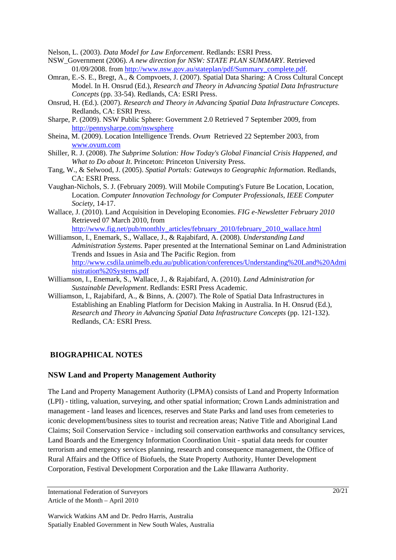Nelson, L. (2003). *Data Model for Law Enforcement*. Redlands: ESRI Press.

- NSW\_Government (2006). *A new direction for NSW: STATE PLAN SUMMARY*. Retrieved 01/09/2008. from http://www.nsw.gov.au/stateplan/pdf/Summary\_complete.pdf.
- Omran, E.-S. E., Bregt, A., & Compvoets, J. (2007). Spatial Data Sharing: A Cross Cultural Concept Model. In H. Onsrud (Ed.), *Research and Theory in Advancing Spatial Data Infrastructure Concepts* (pp. 33-54). Redlands, CA: ESRI Press.
- Onsrud, H. (Ed.). (2007). *Research and Theory in Advancing Spatial Data Infrastructure Concepts*. Redlands, CA: ESRI Press.
- Sharpe, P. (2009). NSW Public Sphere: Government 2.0 Retrieved 7 September 2009, from http://pennysharpe.com/nswsphere
- Sheina, M. (2009). Location Intelligence Trends. *Ovum* Retrieved 22 September 2003, from www.ovum.com
- Shiller, R. J. (2008). *The Subprime Solution: How Today's Global Financial Crisis Happened, and What to Do about It*. Princeton: Princeton University Press.
- Tang, W., & Selwood, J. (2005). *Spatial Portals: Gateways to Geographic Information*. Redlands, CA: ESRI Press.
- Vaughan-Nichols, S. J. (February 2009). Will Mobile Computing's Future Be Location, Location, Location. *Computer Innovation Technology for Computer Professionals, IEEE Computer Society,* 14-17.
- Wallace, J. (2010). Land Acquisition in Developing Economies. *FIG e-Newsletter February 2010* Retrieved 07 March 2010, from

http://www.fig.net/pub/monthly\_articles/february\_2010/february\_2010\_wallace.html

- Williamson, I., Enemark, S., Wallace, J., & Rajabifard, A. (2008). *Understanding Land Administration Systems*. Paper presented at the International Seminar on Land Administration Trends and Issues in Asia and The Pacific Region. from http://www.csdila.unimelb.edu.au/publication/conferences/Understanding%20Land%20Admi nistration%20Systems.pdf
- Williamson, I., Enemark, S., Wallace, J., & Rajabifard, A. (2010). *Land Administration for Sustainable Development*. Redlands: ESRI Press Academic.
- Williamson, I., Rajabifard, A., & Binns, A. (2007). The Role of Spatial Data Infrastructures in Establishing an Enabling Platform for Decision Making in Australia. In H. Onsrud (Ed.), *Research and Theory in Advancing Spatial Data Infrastructure Concepts* (pp. 121-132). Redlands, CA: ESRI Press.

#### **BIOGRAPHICAL NOTES**

#### **NSW Land and Property Management Authority**

The Land and Property Management Authority (LPMA) consists of Land and Property Information (LPI) - titling, valuation, surveying, and other spatial information; Crown Lands administration and management - land leases and licences, reserves and State Parks and land uses from cemeteries to iconic development/business sites to tourist and recreation areas; Native Title and Aboriginal Land Claims; Soil Conservation Service - including soil conservation earthworks and consultancy services, Land Boards and the Emergency Information Coordination Unit - spatial data needs for counter terrorism and emergency services planning, research and consequence management, the Office of Rural Affairs and the Office of Biofuels, the State Property Authority, Hunter Development Corporation, Festival Development Corporation and the Lake Illawarra Authority.

International Federation of Surveyors Article of the Month – April 2010